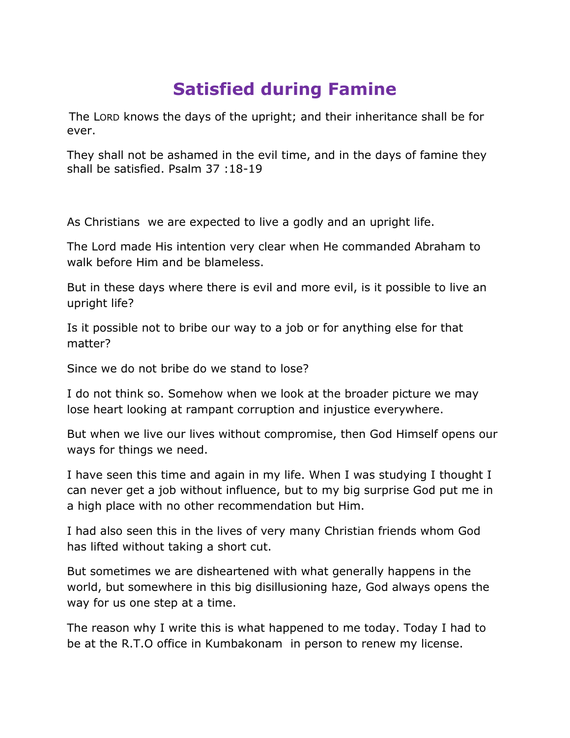## **Satisfied during Famine**

The LORD knows the days of the upright; and their inheritance shall be for ever.

They shall not be ashamed in the evil time, and in the days of famine they shall be satisfied. Psalm 37 :18-19

As Christians we are expected to live a godly and an upright life.

The Lord made His intention very clear when He commanded Abraham to walk before Him and be blameless.

But in these days where there is evil and more evil, is it possible to live an upright life?

Is it possible not to bribe our way to a job or for anything else for that matter?

Since we do not bribe do we stand to lose?

I do not think so. Somehow when we look at the broader picture we may lose heart looking at rampant corruption and injustice everywhere.

But when we live our lives without compromise, then God Himself opens our ways for things we need.

I have seen this time and again in my life. When I was studying I thought I can never get a job without influence, but to my big surprise God put me in a high place with no other recommendation but Him.

I had also seen this in the lives of very many Christian friends whom God has lifted without taking a short cut.

But sometimes we are disheartened with what generally happens in the world, but somewhere in this big disillusioning haze, God always opens the way for us one step at a time.

The reason why I write this is what happened to me today. Today I had to be at the R.T.O office in Kumbakonam in person to renew my license.